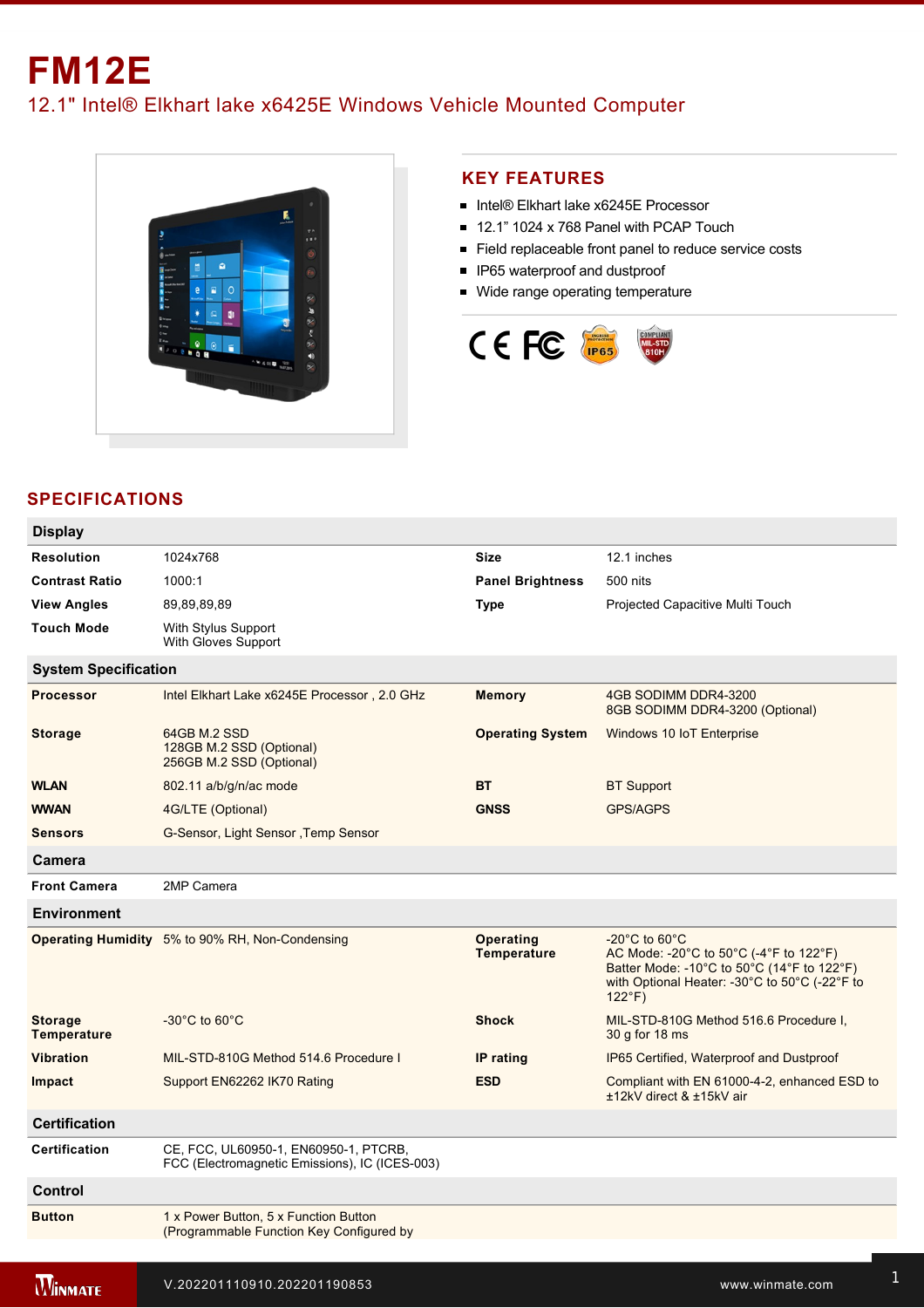## **FM12E** 12.1" Intel® Elkhart lake x6425E Windows Vehicle Mounted Computer



## **KEY FEATURES**

- Intel® Elkhart lake x6245E Processor
- 12.1" 1024 x 768 Panel with PCAP Touch
- Field replaceable front panel to reduce service costs
- **IP65** waterproof and dustproof
- **Wide range operating temperature**



## **SPECIFICATIONS**

| <b>Display</b>                       |                                                                                         |                                 |                                                                                                                                                                                               |  |
|--------------------------------------|-----------------------------------------------------------------------------------------|---------------------------------|-----------------------------------------------------------------------------------------------------------------------------------------------------------------------------------------------|--|
| <b>Resolution</b>                    | 1024x768                                                                                | <b>Size</b>                     | 12.1 inches                                                                                                                                                                                   |  |
| <b>Contrast Ratio</b>                | 1000:1                                                                                  | <b>Panel Brightness</b>         | 500 nits                                                                                                                                                                                      |  |
| <b>View Angles</b>                   | 89,89,89,89                                                                             | Type                            | Projected Capacitive Multi Touch                                                                                                                                                              |  |
| <b>Touch Mode</b>                    | With Stylus Support<br>With Gloves Support                                              |                                 |                                                                                                                                                                                               |  |
| <b>System Specification</b>          |                                                                                         |                                 |                                                                                                                                                                                               |  |
| <b>Processor</b>                     | Intel Elkhart Lake x6245E Processor, 2.0 GHz                                            | <b>Memory</b>                   | 4GB SODIMM DDR4-3200<br>8GB SODIMM DDR4-3200 (Optional)                                                                                                                                       |  |
| <b>Storage</b>                       | 64GB M.2 SSD<br>128GB M.2 SSD (Optional)<br>256GB M.2 SSD (Optional)                    | <b>Operating System</b>         | Windows 10 IoT Enterprise                                                                                                                                                                     |  |
| <b>WLAN</b>                          | 802.11 a/b/g/n/ac mode                                                                  | ВT                              | <b>BT</b> Support                                                                                                                                                                             |  |
| <b>WWAN</b>                          | 4G/LTE (Optional)                                                                       | <b>GNSS</b>                     | <b>GPS/AGPS</b>                                                                                                                                                                               |  |
| <b>Sensors</b>                       | G-Sensor, Light Sensor , Temp Sensor                                                    |                                 |                                                                                                                                                                                               |  |
| <b>Camera</b>                        |                                                                                         |                                 |                                                                                                                                                                                               |  |
| <b>Front Camera</b>                  | 2MP Camera                                                                              |                                 |                                                                                                                                                                                               |  |
| <b>Environment</b>                   |                                                                                         |                                 |                                                                                                                                                                                               |  |
|                                      | Operating Humidity 5% to 90% RH, Non-Condensing                                         | Operating<br><b>Temperature</b> | $-20^{\circ}$ C to 60 $^{\circ}$ C<br>AC Mode: -20°C to 50°C (-4°F to 122°F)<br>Batter Mode: -10°C to 50°C (14°F to 122°F)<br>with Optional Heater: -30°C to 50°C (-22°F to<br>$122^{\circ}F$ |  |
| <b>Storage</b><br><b>Temperature</b> | $-30^{\circ}$ C to 60 $^{\circ}$ C                                                      | <b>Shock</b>                    | MIL-STD-810G Method 516.6 Procedure I,<br>30 g for 18 ms                                                                                                                                      |  |
| <b>Vibration</b>                     | MIL-STD-810G Method 514.6 Procedure I                                                   | IP rating                       | IP65 Certified, Waterproof and Dustproof                                                                                                                                                      |  |
| Impact                               | Support EN62262 IK70 Rating                                                             | <b>ESD</b>                      | Compliant with EN 61000-4-2, enhanced ESD to<br>±12kV direct & ±15kV air                                                                                                                      |  |
| <b>Certification</b>                 |                                                                                         |                                 |                                                                                                                                                                                               |  |
| <b>Certification</b>                 | CE, FCC, UL60950-1, EN60950-1, PTCRB,<br>FCC (Electromagnetic Emissions), IC (ICES-003) |                                 |                                                                                                                                                                                               |  |
| Control                              |                                                                                         |                                 |                                                                                                                                                                                               |  |
| <b>Button</b>                        | 1 x Power Button, 5 x Function Button<br>(Programmable Function Key Configured by       |                                 |                                                                                                                                                                                               |  |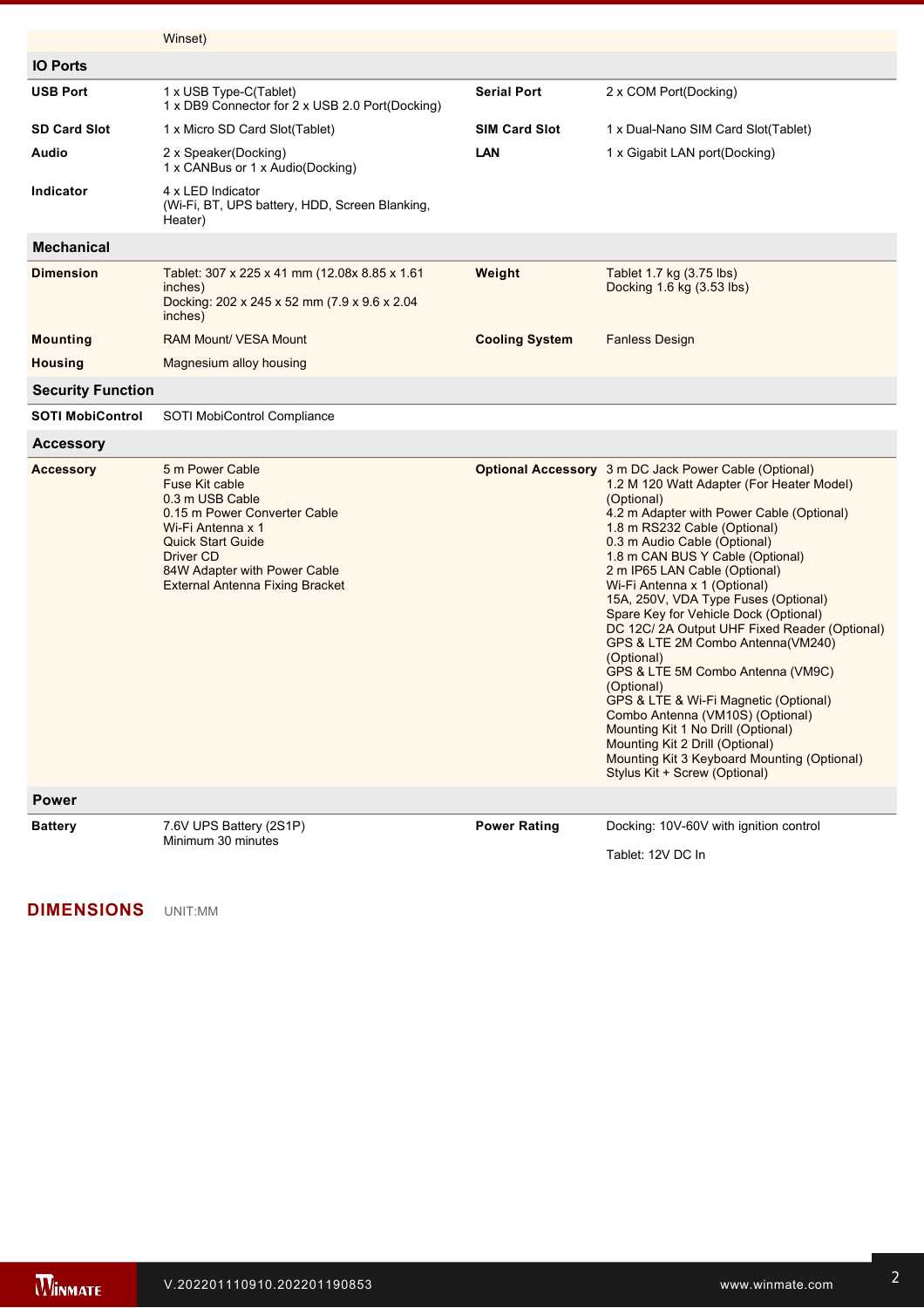|                          | Winset)                                                                                                                                                                                                                             |                       |                                                                                                                                                                                                                                                                                                                                                                                                                                                                                                                                                                                                                                                                                                                                                                                                                        |
|--------------------------|-------------------------------------------------------------------------------------------------------------------------------------------------------------------------------------------------------------------------------------|-----------------------|------------------------------------------------------------------------------------------------------------------------------------------------------------------------------------------------------------------------------------------------------------------------------------------------------------------------------------------------------------------------------------------------------------------------------------------------------------------------------------------------------------------------------------------------------------------------------------------------------------------------------------------------------------------------------------------------------------------------------------------------------------------------------------------------------------------------|
| <b>IO Ports</b>          |                                                                                                                                                                                                                                     |                       |                                                                                                                                                                                                                                                                                                                                                                                                                                                                                                                                                                                                                                                                                                                                                                                                                        |
| <b>USB Port</b>          | 1 x USB Type-C(Tablet)<br>1 x DB9 Connector for 2 x USB 2.0 Port(Docking)                                                                                                                                                           | <b>Serial Port</b>    | 2 x COM Port(Docking)                                                                                                                                                                                                                                                                                                                                                                                                                                                                                                                                                                                                                                                                                                                                                                                                  |
| <b>SD Card Slot</b>      | 1 x Micro SD Card Slot(Tablet)                                                                                                                                                                                                      | <b>SIM Card Slot</b>  | 1 x Dual-Nano SIM Card Slot(Tablet)                                                                                                                                                                                                                                                                                                                                                                                                                                                                                                                                                                                                                                                                                                                                                                                    |
| Audio                    | 2 x Speaker(Docking)<br>1 x CANBus or 1 x Audio(Docking)                                                                                                                                                                            | LAN                   | 1 x Gigabit LAN port(Docking)                                                                                                                                                                                                                                                                                                                                                                                                                                                                                                                                                                                                                                                                                                                                                                                          |
| Indicator                | 4 x LED Indicator<br>(Wi-Fi, BT, UPS battery, HDD, Screen Blanking,<br>Heater)                                                                                                                                                      |                       |                                                                                                                                                                                                                                                                                                                                                                                                                                                                                                                                                                                                                                                                                                                                                                                                                        |
| <b>Mechanical</b>        |                                                                                                                                                                                                                                     |                       |                                                                                                                                                                                                                                                                                                                                                                                                                                                                                                                                                                                                                                                                                                                                                                                                                        |
| <b>Dimension</b>         | Tablet: 307 x 225 x 41 mm (12.08x 8.85 x 1.61<br>inches)<br>Docking: 202 x 245 x 52 mm (7.9 x 9.6 x 2.04<br>inches)                                                                                                                 | Weight                | Tablet 1.7 kg (3.75 lbs)<br>Docking 1.6 kg (3.53 lbs)                                                                                                                                                                                                                                                                                                                                                                                                                                                                                                                                                                                                                                                                                                                                                                  |
| <b>Mounting</b>          | <b>RAM Mount/ VESA Mount</b>                                                                                                                                                                                                        | <b>Cooling System</b> | <b>Fanless Design</b>                                                                                                                                                                                                                                                                                                                                                                                                                                                                                                                                                                                                                                                                                                                                                                                                  |
| <b>Housing</b>           | Magnesium alloy housing                                                                                                                                                                                                             |                       |                                                                                                                                                                                                                                                                                                                                                                                                                                                                                                                                                                                                                                                                                                                                                                                                                        |
| <b>Security Function</b> |                                                                                                                                                                                                                                     |                       |                                                                                                                                                                                                                                                                                                                                                                                                                                                                                                                                                                                                                                                                                                                                                                                                                        |
| <b>SOTI MobiControl</b>  | SOTI MobiControl Compliance                                                                                                                                                                                                         |                       |                                                                                                                                                                                                                                                                                                                                                                                                                                                                                                                                                                                                                                                                                                                                                                                                                        |
| <b>Accessory</b>         |                                                                                                                                                                                                                                     |                       |                                                                                                                                                                                                                                                                                                                                                                                                                                                                                                                                                                                                                                                                                                                                                                                                                        |
| <b>Accessory</b>         | 5 m Power Cable<br>Fuse Kit cable<br>0.3 m USB Cable<br>0.15 m Power Converter Cable<br>Wi-Fi Antenna x 1<br><b>Quick Start Guide</b><br><b>Driver CD</b><br>84W Adapter with Power Cable<br><b>External Antenna Fixing Bracket</b> |                       | <b>Optional Accessory</b> 3 m DC Jack Power Cable (Optional)<br>1.2 M 120 Watt Adapter (For Heater Model)<br>(Optional)<br>4.2 m Adapter with Power Cable (Optional)<br>1.8 m RS232 Cable (Optional)<br>0.3 m Audio Cable (Optional)<br>1.8 m CAN BUS Y Cable (Optional)<br>2 m IP65 LAN Cable (Optional)<br>Wi-Fi Antenna x 1 (Optional)<br>15A, 250V, VDA Type Fuses (Optional)<br>Spare Key for Vehicle Dock (Optional)<br>DC 12C/2A Output UHF Fixed Reader (Optional)<br>GPS & LTE 2M Combo Antenna(VM240)<br>(Optional)<br>GPS & LTE 5M Combo Antenna (VM9C)<br>(Optional)<br>GPS & LTE & Wi-Fi Magnetic (Optional)<br>Combo Antenna (VM10S) (Optional)<br>Mounting Kit 1 No Drill (Optional)<br>Mounting Kit 2 Drill (Optional)<br>Mounting Kit 3 Keyboard Mounting (Optional)<br>Stylus Kit + Screw (Optional) |
| <b>Power</b>             |                                                                                                                                                                                                                                     |                       |                                                                                                                                                                                                                                                                                                                                                                                                                                                                                                                                                                                                                                                                                                                                                                                                                        |
| <b>Battery</b>           | 7.6V UPS Battery (2S1P)<br>Minimum 30 minutes                                                                                                                                                                                       | <b>Power Rating</b>   | Docking: 10V-60V with ignition control<br>Tablet: 12V DC In                                                                                                                                                                                                                                                                                                                                                                                                                                                                                                                                                                                                                                                                                                                                                            |

**DIMENSIONS**  UNIT:MM